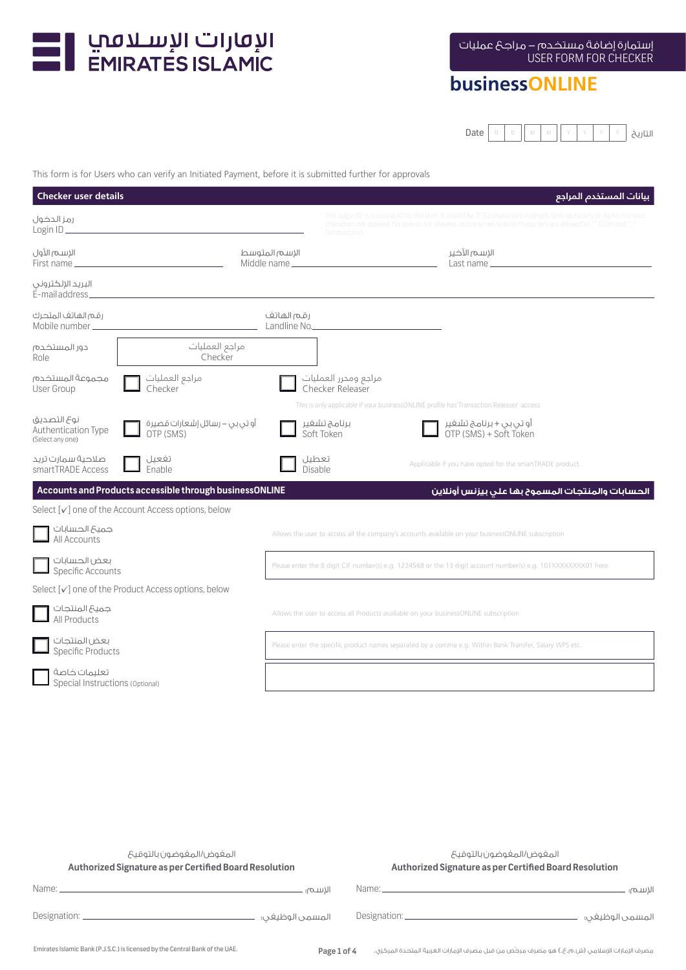

# **businessONLINE**

Date  $\vert \circ \vert$  D  $\vert \cdot \vert \cdot \vert \cdot \vert \cdot \vert \cdot \vert \cdot \vert \cdot \vert$  U التاريخ

This form is for Users who can verify an Initiated Payment, before it is submitted further for approvals

| <b>Checker user details</b>                            |                                                                   |                            |                                          |                                                                                                                                                                                                                                     | بيانات المستخدم المراجع |
|--------------------------------------------------------|-------------------------------------------------------------------|----------------------------|------------------------------------------|-------------------------------------------------------------------------------------------------------------------------------------------------------------------------------------------------------------------------------------|-------------------------|
| رمز الحضول<br>Login $ID$ $\_\_$                        |                                                                   |                            | (Underscore).                            | The 'Login ID' is a unique ID for the User. It should be 3-32 characters in length. Only alphabets or Alpha-numerio<br>characters are allowed. No spaces are allowed and only two special characters are allowed as "." (Dot) and ' |                         |
| الإسم الأول<br>First name _                            |                                                                   | الإسم المتوسط              |                                          | الإسم الأخير<br>Last name ____                                                                                                                                                                                                      |                         |
| البريد الإلكتروني<br>E-mail address                    |                                                                   |                            |                                          |                                                                                                                                                                                                                                     |                         |
| رقم الهاتف المتحرك<br>Mobile number_                   |                                                                   | رقم الهاتف<br>Landline No. |                                          |                                                                                                                                                                                                                                     |                         |
| دور المستخدم<br>Role                                   | مراجع العمليات<br>Checker                                         |                            |                                          |                                                                                                                                                                                                                                     |                         |
| مجموعة المستخدم<br>User Group                          | مراجع العمليات<br>Checker                                         |                            | مراجع ومحرر العمليات<br>Checker Releaser |                                                                                                                                                                                                                                     |                         |
|                                                        |                                                                   |                            |                                          | This is only applicable if your businessONLINE profile has'Transaction Releaser' access                                                                                                                                             |                         |
| نوع التصديق<br>Authentication Type<br>(Select any one) | أو تي بي – رسائل إشعارات قصيرة<br>OTP (SMS)                       |                            | برنامج تشغير<br>Soft Token               | أو تي بي + برنامج تشغير<br>OTP (SMS) + Soft Token                                                                                                                                                                                   |                         |
| صلاحية سمارت تريد<br>smartTRADE Access                 | تفعيل<br>Enable                                                   | تعطيل<br>Disable           |                                          | Applicable if you have opted for the smartTRADE product.                                                                                                                                                                            |                         |
|                                                        | Accounts and Products accessible through businessONLINE           |                            |                                          | الحسابات والمنتجات المسموح بها على بيزنس أونلاين                                                                                                                                                                                    |                         |
|                                                        | Select $\lceil v \rceil$ one of the Account Access options, below |                            |                                          |                                                                                                                                                                                                                                     |                         |
| جميع الحسابات<br>All Accounts                          |                                                                   |                            |                                          | Allows the user to access all the company's accounts available on your businessONLINE subscription                                                                                                                                  |                         |
| بعض الحسابات<br>Specific Accounts                      |                                                                   |                            |                                          | Please enter the 8 digit CIF number(s) e.g. 1234568 or the 13 digit account number(s) e.g. 101XXXXXXXX01 here                                                                                                                       |                         |
|                                                        | Select [√] one of the Product Access options, below               |                            |                                          |                                                                                                                                                                                                                                     |                         |
| جميع المنتجات<br>All Products                          |                                                                   |                            |                                          | Allows the user to access all Products available on your businessONLINE subscription                                                                                                                                                |                         |
| بعض المنتجات<br><b>Specific Products</b>               |                                                                   |                            |                                          | Please enter the specific product names separated by a comma e.g. Within Bank Transfer, Salary WPS etc.                                                                                                                             |                         |
| تعليمات خاصة<br>Special Instructions (Optional)        |                                                                   |                            |                                          |                                                                                                                                                                                                                                     |                         |
|                                                        |                                                                   |                            |                                          |                                                                                                                                                                                                                                     |                         |

| المغوض االمغوضون بالتوقيح<br>Authorized Signature as per Certified Board Resolution |                     | المغوض ا/المغوضون بالتوقيح<br>Authorized Signature as per Certified Board Resolution                                                                                                                                          |                 |
|-------------------------------------------------------------------------------------|---------------------|-------------------------------------------------------------------------------------------------------------------------------------------------------------------------------------------------------------------------------|-----------------|
|                                                                                     | الاسم؛ .            | Name: Name: Name: Name: Name: Name: Name: Name: Name: Name: Name: Name: Name: Name: Name: Name: Name: Name: Name: Name: Name: Name: Name: Name: Name: Name: Name: Name: Name: Name: Name: Name: Name: Name: Name: Name: Name: | الاسم؛          |
|                                                                                     | المسمى الوظيغى؛   ۔ |                                                                                                                                                                                                                               | المسمى الوظيغى؛ |
| Emirates Islamic Bank (P.J.S.C.) is licensed by the Central Bank of the UAE.        | Page 1 of 4         | مصرف الإمارات الإسلامي (ش.م.ع.ع.) هو مصرف مرخص من قبل مصرف الإمارات العربية المتحدة المركزي.                                                                                                                                  |                 |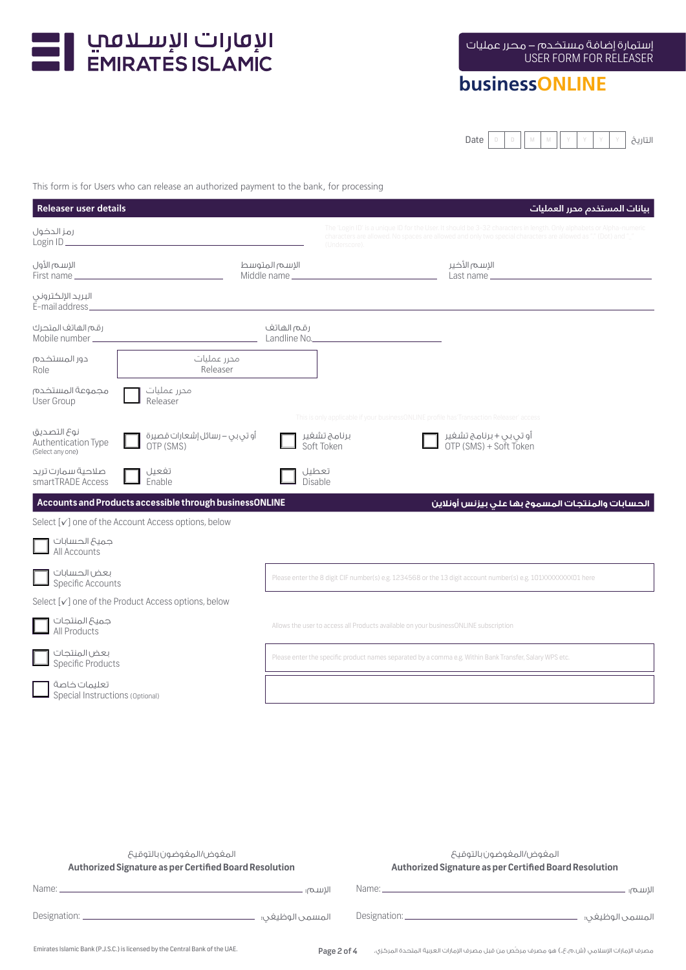

# **businessONLINE**

Date D D M M Y Y Y Y التاريخ

This form is for Users who can release an authorized payment to the bank, for processing

| <b>Releaser user details</b>                                  |                                                         |                         |                                                                                      | بيانات المستخدم محرر العمليات                                                                                                                                                                                                       |
|---------------------------------------------------------------|---------------------------------------------------------|-------------------------|--------------------------------------------------------------------------------------|-------------------------------------------------------------------------------------------------------------------------------------------------------------------------------------------------------------------------------------|
| رمز الحضول                                                    |                                                         |                         | (Underscore).                                                                        | The 'Login ID' is a unique ID for the User. It should be 3-32 characters in length. Only alphabets or Alpha-numeric<br>characters are allowed. No spaces are allowed and only two special characters are allowed as "." (Dot) and ' |
| الإسم الأول                                                   |                                                         | الإسم المتوسط           |                                                                                      | الإسم الأخير                                                                                                                                                                                                                        |
| البريد الإلكتروني<br>E-mail address_                          |                                                         |                         |                                                                                      |                                                                                                                                                                                                                                     |
| رقم الهاتف المتحرك                                            |                                                         | رقم الفاتف              | Landline No. 2008 Commission Commission Commission                                   |                                                                                                                                                                                                                                     |
| دور المستخدم<br>Role                                          | محرر عملیات<br>Releaser                                 |                         |                                                                                      |                                                                                                                                                                                                                                     |
| مجموعة المستخدم<br>User Group                                 | محرر عملیات<br>Releaser                                 |                         |                                                                                      |                                                                                                                                                                                                                                     |
| نوع التصديق<br><b>Authentication Type</b><br>(Select any one) | أو تي بي – رسائل إشعارات قصيرة<br>OTP (SMS)             |                         | برنامج تشغير<br>Soft Token                                                           | This is only applicable if your businessONLINE profile has'Transaction Releaser' access<br>أو تي بي + برنامج تشغير<br>OTP (SMS) + Soft Token                                                                                        |
| صلاحية سمارت تريد<br>smartTRADE Access                        | تفعيل<br>Enable                                         | تعطيل<br><b>Disable</b> |                                                                                      |                                                                                                                                                                                                                                     |
|                                                               | Accounts and Products accessible through businessONLINE |                         |                                                                                      | الحسابات والمنتجات المسموح بها على بيزنس أونلاين                                                                                                                                                                                    |
|                                                               | Select [√] one of the Account Access options, below     |                         |                                                                                      |                                                                                                                                                                                                                                     |
| جميع الحسابات<br>All Accounts                                 |                                                         |                         |                                                                                      |                                                                                                                                                                                                                                     |
| بعض الحسابات<br>Specific Accounts                             |                                                         |                         |                                                                                      | Please enter the 8 digit CIF number(s) e.g. 1234568 or the 13 digit account number(s) e.g. 101XXXXXXXX01 here                                                                                                                       |
|                                                               | Select [√] one of the Product Access options, below     |                         |                                                                                      |                                                                                                                                                                                                                                     |
| جميع المنتجات<br>All Products                                 |                                                         |                         | Allows the user to access all Products available on your businessONLINE subscription |                                                                                                                                                                                                                                     |
| بعض المنتجات<br><b>Specific Products</b>                      |                                                         |                         |                                                                                      | Please enter the specific product names separated by a comma e.g. Within Bank Transfer, Salary WPS etc.                                                                                                                             |
| تعلىمات خاصة<br>Special Instructions (Optional)               |                                                         |                         |                                                                                      |                                                                                                                                                                                                                                     |

| المغوض ا/المغوضون بالتوقيح<br>Authorized Signature as per Certified Board Resolution                     |             | المغوض ⁄المغوضون بالتوقيح<br>Authorized Signature as per Certified Board Resolution          |
|----------------------------------------------------------------------------------------------------------|-------------|----------------------------------------------------------------------------------------------|
| Name: <u>example and the second contract of the second contract of the second contract of the second</u> | الاسم: ـ    | ـ الاســـہ: ـ                                                                                |
|                                                                                                          |             | المسمى الوظيغى؛                                                                              |
| Emirates Islamic Bank (P.J.S.C.) is licensed by the Central Bank of the UAE.                             | Page 2 of 4 | مصرف الإمارات الإسلامي (ش.م.ع.ع.) هو مصرف مرخص من قبل مصرف الإمارات العربية المتحدة المركزي. |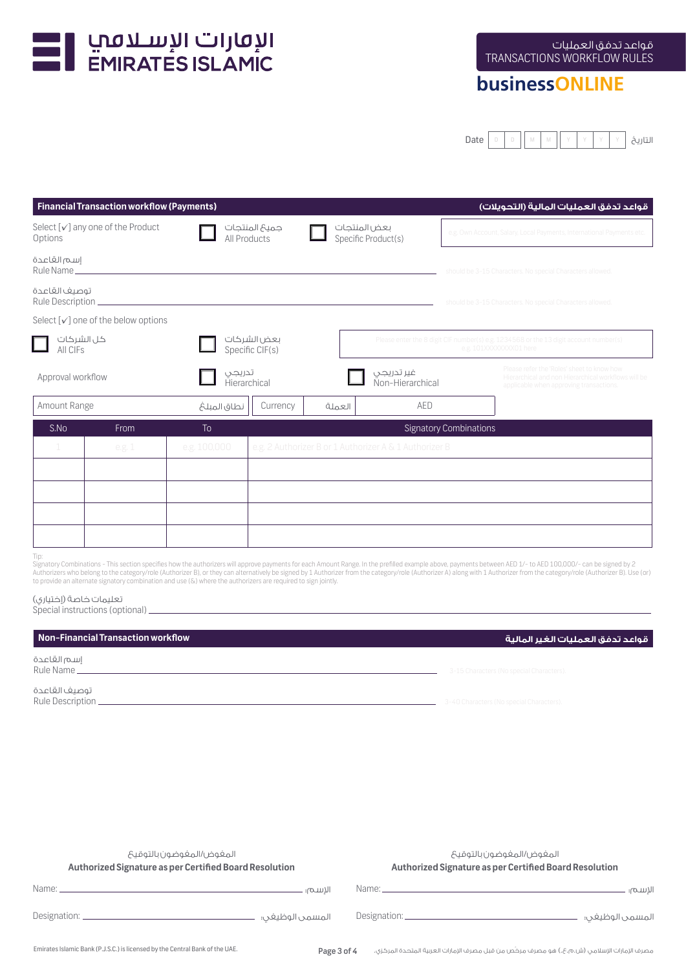

## **businessONLINE**

Date D D M M Y Y Y Y التاريخ

| <b>Financial Transaction workflow (Payments)</b><br>قواعد تدفق العمليات المالية (التحويلات) |                                       |                                |                                |              |                                                                                                                 |                               |                                                                                                                                              |
|---------------------------------------------------------------------------------------------|---------------------------------------|--------------------------------|--------------------------------|--------------|-----------------------------------------------------------------------------------------------------------------|-------------------------------|----------------------------------------------------------------------------------------------------------------------------------------------|
| Select [√] any one of the Product<br>Options                                                |                                       |                                | جميعَ المنتجات<br>All Products | بعض المنتجات | Specific Product(s)                                                                                             |                               | e.g. Own Account, Salary, Local Payments, International Payments etc.                                                                        |
| إسم القاعدة<br>Rule Name_                                                                   |                                       |                                |                                |              |                                                                                                                 |                               | should be 3-15 Characters. No special Characters allowed.                                                                                    |
| توصيف القاعدة<br>Rule Description                                                           |                                       |                                |                                |              |                                                                                                                 |                               | should be 3-15 Characters. No special Characters allowed.                                                                                    |
|                                                                                             | Select $[v]$ one of the below options |                                |                                |              |                                                                                                                 |                               |                                                                                                                                              |
| كل الشركات<br>All CIFs                                                                      |                                       | بعض الشركات<br>Specific CIF(s) |                                |              | Please enter the 8 digit CIF number(s) e.g. 1234568 or the 13 digit account number(s)<br>e.g. 101XXXXXXX01 here |                               |                                                                                                                                              |
| Approval workflow                                                                           |                                       |                                | تدريجى<br>Hierarchical         |              | غير تدريجي<br>Non-Hierarchical                                                                                  |                               | Please refer the 'Roles' sheet to know how<br>Hierarchical and non Hierarchical workflows will be<br>applicable when approving transactions. |
| Amount Range                                                                                |                                       | نطاق المبلغ                    | Currency                       | العملة       | AED                                                                                                             |                               |                                                                                                                                              |
| S.No                                                                                        | From                                  | To                             |                                |              |                                                                                                                 | <b>Signatory Combinations</b> |                                                                                                                                              |
| 1                                                                                           | e.g. 1                                | e.g. 100,000                   |                                |              | e.g. 2 Authorizer B or 1 Authorizer A & 1 Authorizer B                                                          |                               |                                                                                                                                              |
|                                                                                             |                                       |                                |                                |              |                                                                                                                 |                               |                                                                                                                                              |
|                                                                                             |                                       |                                |                                |              |                                                                                                                 |                               |                                                                                                                                              |
|                                                                                             |                                       |                                |                                |              |                                                                                                                 |                               |                                                                                                                                              |
|                                                                                             |                                       |                                |                                |              |                                                                                                                 |                               |                                                                                                                                              |
| Tin:                                                                                        |                                       |                                |                                |              |                                                                                                                 |                               |                                                                                                                                              |

Tip:<br>Signatory Combinations - This section specifies how the authorizers will approve payments for each Amount Range. In the prefilled example above, payments between AED 1/- to AED 100,000/- can be signed by 2<br>Authorizers

### تعليمات خاصة (إختياري)

Special instructions (optional)

#### **قواعد تدفق العمليات الغير المالية workflow Transaction Financial-Non**

إسم القاعدة

توصيف القاعدة Rule Description.

Rule Name **3-15 Characters (No special Characters).** 3-15 Characters (No special Characters).

| المغوض ⁄المغوضون بالتوقيح<br>Authorized Signature as per Certified Board Resolution |          | المغوض ⁄المغوضون بالتوقيح<br>Authorized Signature as per Certified Board Resolution                                                                                                                                                  |          |
|-------------------------------------------------------------------------------------|----------|--------------------------------------------------------------------------------------------------------------------------------------------------------------------------------------------------------------------------------------|----------|
|                                                                                     | الاسم؛ - | Name: <u>Alexander Alexander and Contract and Contract and Contract and Contract and Contract and Contract and Contract and Contract and Contract and Contract and Contract and Contract and Contract and Contract and Contract </u> | الاسم؛ . |
|                                                                                     |          |                                                                                                                                                                                                                                      |          |
|                                                                                     |          |                                                                                                                                                                                                                                      |          |